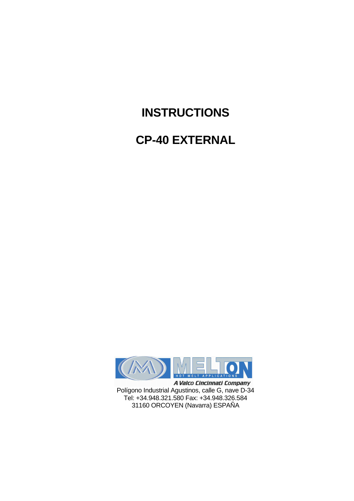# **INSTRUCTIONS**

# **CP-40 EXTERNAL**



A Valco Cincinnati Company Polígono Industrial Agustinos, calle G, nave D-34 Tel: +34.948.321.580 Fax: +34.948.326.584 31160 ORCOYEN (Navarra) ESPAÑA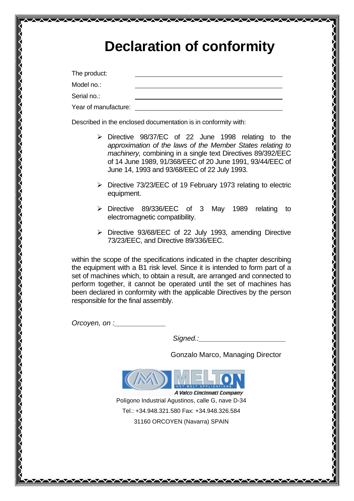| <b>Declaration of conformity</b> |
|----------------------------------|
|----------------------------------|

The product:

Model no.:

Serial no.:

Year of manufacture:

Described in the enclosed documentation is in conformity with:

 $\begin{picture}(120,15) \put(0,0){\line(1,0){15}} \put(15,0){\line(1,0){15}} \put(15,0){\line(1,0){15}} \put(15,0){\line(1,0){15}} \put(15,0){\line(1,0){15}} \put(15,0){\line(1,0){15}} \put(15,0){\line(1,0){15}} \put(15,0){\line(1,0){15}} \put(15,0){\line(1,0){15}} \put(15,0){\line(1,0){15}} \put(15,0){\line(1,0){15}} \put(15,0){\line($ 

- Directive 98/37/EC of 22 June 1998 relating to the approximation of the laws of the Member States relating to machinery, combining in a single text Directives 89/392/EEC of 14 June 1989, 91/368/EEC of 20 June 1991, 93/44/EEC of June 14, 1993 and 93/68/EEC of 22 July 1993.
- $\triangleright$  Directive 73/23/EEC of 19 February 1973 relating to electric equipment.
- > Directive 89/336/EEC of 3 May 1989 relating to electromagnetic compatibility.
- $\triangleright$  Directive 93/68/EEC of 22 July 1993, amending Directive 73/23/EEC, and Directive 89/336/EEC.

within the scope of the specifications indicated in the chapter describing the equipment with a B1 risk level. Since it is intended to form part of a set of machines which, to obtain a result, are arranged and connected to perform together, it cannot be operated until the set of machines has been declared in conformity with the applicable Directives by the person responsible for the final assembly.

Orcoyen, on :\_\_\_\_\_\_\_\_\_\_\_\_\_

Signed.:\_\_\_\_\_\_\_\_\_\_\_\_\_\_\_\_\_\_\_\_\_\_

Gonzalo Marco, Managing Director



Polígono Industrial Agustinos, calle G, nave D-34 Tel.: +34.948.321.580 Fax: +34.948.326.584 31160 ORCOYEN (Navarra) SPAIN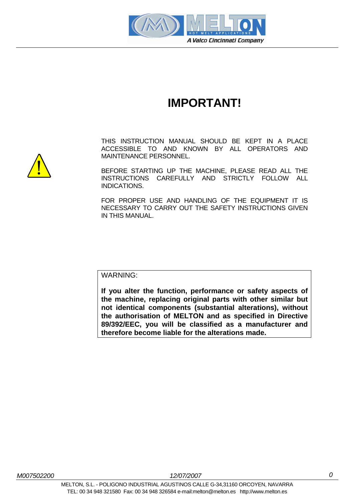

# **IMPORTANT!**

THIS INSTRUCTION MANUAL SHOULD BE KEPT IN A PLACE ACCESSIBLE TO AND KNOWN BY ALL OPERATORS AND MAINTENANCE PERSONNEL.

BEFORE STARTING UP THE MACHINE, PLEASE READ ALL THE INSTRUCTIONS CAREFULLY AND STRICTLY FOLLOW ALL INDICATIONS.

FOR PROPER USE AND HANDLING OF THE EQUIPMENT IT IS NECESSARY TO CARRY OUT THE SAFETY INSTRUCTIONS GIVEN IN THIS MANUAL.

WARNING:

**If you alter the function, performance or safety aspects of the machine, replacing original parts with other similar but not identical components (substantial alterations), without the authorisation of MELTON and as specified in Directive 89/392/EEC, you will be classified as a manufacturer and therefore become liable for the alterations made.** 

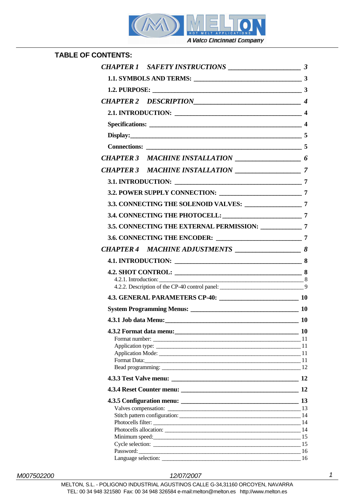

| <b>TABLE OF CONTENTS:</b> |                                                          |           |
|---------------------------|----------------------------------------------------------|-----------|
|                           |                                                          |           |
|                           | 1.1. SYMBOLS AND TERMS: 3                                |           |
|                           |                                                          |           |
|                           |                                                          |           |
|                           |                                                          |           |
|                           |                                                          |           |
|                           |                                                          |           |
|                           | $Display:$ 5                                             |           |
|                           |                                                          |           |
|                           |                                                          |           |
|                           |                                                          |           |
|                           |                                                          |           |
|                           |                                                          |           |
|                           | 3.3. CONNECTING THE SOLENOID VALVES: 7                   |           |
|                           |                                                          |           |
|                           | 3.5. CONNECTING THE EXTERNAL PERMISSION: _____________ 7 |           |
|                           |                                                          |           |
|                           |                                                          |           |
|                           |                                                          |           |
|                           | 4.2. SHOT CONTROL: 8                                     |           |
|                           | 4.2.1. Introduction: 8                                   |           |
|                           |                                                          |           |
|                           |                                                          |           |
|                           | System Programming Menus: 10                             |           |
|                           |                                                          | <b>10</b> |
|                           | 4.3.2 Format data menu: 10                               |           |
|                           | Format number: 11<br>Application type: 11                |           |
|                           | Application Mode: 11                                     |           |
|                           | Format Data: 11                                          |           |
|                           | Bead programming: 12                                     |           |
|                           |                                                          |           |
|                           |                                                          | 12        |
|                           |                                                          |           |
|                           | Valves compensation: 13                                  |           |
|                           |                                                          |           |
|                           | Photocells filter: 14                                    |           |
|                           | Photocells allocation: 14<br>Minimum speed: 15           |           |
|                           |                                                          |           |
|                           | Password: 16                                             |           |
|                           | Language selection: 16                                   |           |

#### M007502200 12/07/2007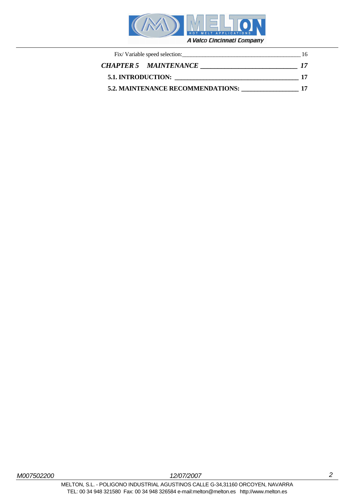

| Fix/Variable speed selection:            |                              | 16 |
|------------------------------------------|------------------------------|----|
|                                          | <b>CHAPTER 5 MAINTENANCE</b> |    |
| <b>5.1. INTRODUCTION:</b>                |                              |    |
| <b>5.2. MAINTENANCE RECOMMENDATIONS:</b> |                              |    |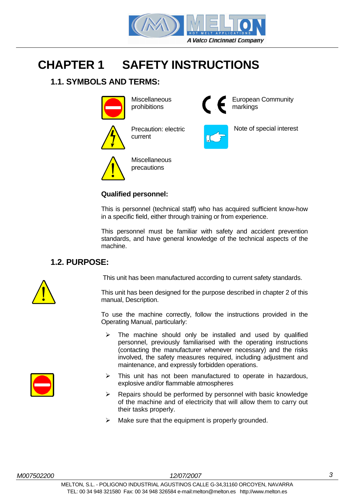

# **CHAPTER 1 SAFETY INSTRUCTIONS**

# **1.1. SYMBOLS AND TERMS:**



**Miscellaneous** prohibitions



Precaution: electric current



European Community markings





**Miscellaneous** precautions

### **Qualified personnel:**

This is personnel (technical staff) who has acquired sufficient know-how in a specific field, either through training or from experience.

This personnel must be familiar with safety and accident prevention standards, and have general knowledge of the technical aspects of the machine.

# **1.2. PURPOSE:**

This unit has been manufactured according to current safety standards.

This unit has been designed for the purpose described in chapter 2 of this manual, Description.

To use the machine correctly, follow the instructions provided in the Operating Manual, particularly:

- $\triangleright$  The machine should only be installed and used by qualified personnel, previously familiarised with the operating instructions (contacting the manufacturer whenever necessary) and the risks involved, the safety measures required, including adjustment and maintenance, and expressly forbidden operations.
- $\triangleright$  This unit has not been manufactured to operate in hazardous, explosive and/or flammable atmospheres
	- $\triangleright$  Repairs should be performed by personnel with basic knowledge of the machine and of electricity that will allow them to carry out their tasks properly.
	- $\triangleright$  Make sure that the equipment is properly grounded.

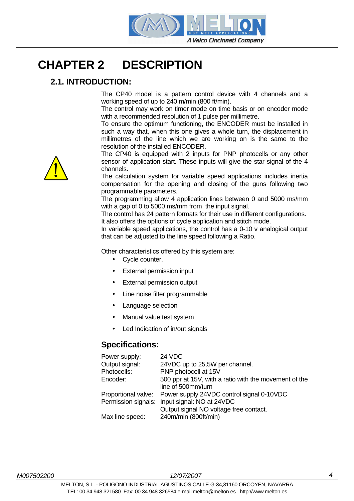

# **CHAPTER 2 DESCRIPTION**

# **2.1. INTRODUCTION:**

The CP40 model is a pattern control device with 4 channels and a working speed of up to 240 m/min (800 ft/min).

The control may work on timer mode on time basis or on encoder mode with a recommended resolution of 1 pulse per millimetre.

To ensure the optimum functioning, the ENCODER must be installed in such a way that, when this one gives a whole turn, the displacement in millimetres of the line which we are working on is the same to the resolution of the installed ENCODER.

The CP40 is equipped with 2 inputs for PNP photocells or any other sensor of application start. These inputs will give the star signal of the 4 channels.

The calculation system for variable speed applications includes inertia compensation for the opening and closing of the guns following two programmable parameters.

The programming allow 4 application lines between 0 and 5000 ms/mm with a gap of 0 to 5000 ms/mm from the input signal.

The control has 24 pattern formats for their use in different configurations. It also offers the options of cycle application and stitch mode.

In variable speed applications, the control has a 0-10 v analogical output that can be adjusted to the line speed following a Ratio.

Other characteristics offered by this system are:

- Cycle counter.
- External permission input
- External permission output
- Line noise filter programmable
- Language selection
- Manual value test system
- Led Indication of in/out signals

#### **Specifications:**

| 24 VDC                                                        |
|---------------------------------------------------------------|
| 24VDC up to 25,5W per channel.                                |
| PNP photocell at 15V                                          |
| 500 ppr at 15V, with a ratio with the movement of the         |
| line of 500mm/turn                                            |
| Proportional valve: Power supply 24VDC control signal 0-10VDC |
| Input signal: NO at 24VDC<br>Permission signals:              |
| Output signal NO voltage free contact.                        |
| 240m/min (800ft/min)                                          |
|                                                               |

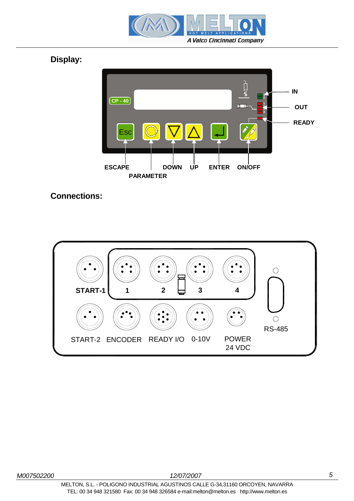

**Display:** 



# **Connections:**

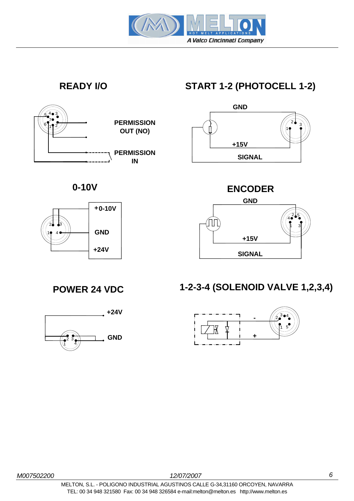





# **READY I/O START 1-2 (PHOTOCELL 1-2)**





# **1-2-3-4 (SOLENOID VALVE 1,2,3,4)**





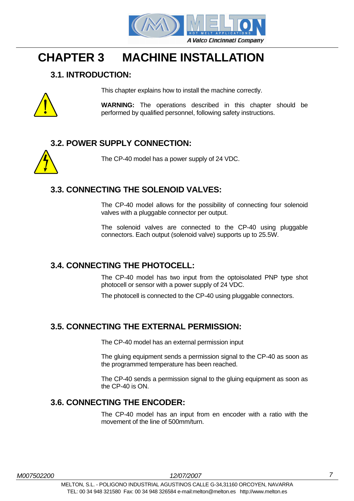

# **CHAPTER 3 MACHINE INSTALLATION**

# **3.1. INTRODUCTION:**



This chapter explains how to install the machine correctly.

**WARNING:** The operations described in this chapter should be performed by qualified personnel, following safety instructions.

# **3.2. POWER SUPPLY CONNECTION:**

The CP-40 model has a power supply of 24 VDC.

### **3.3. CONNECTING THE SOLENOID VALVES:**

The CP-40 model allows for the possibility of connecting four solenoid valves with a pluggable connector per output.

The solenoid valves are connected to the CP-40 using pluggable connectors. Each output (solenoid valve) supports up to 25.5W.

# **3.4. CONNECTING THE PHOTOCELL:**

The CP-40 model has two input from the optoisolated PNP type shot photocell or sensor with a power supply of 24 VDC.

The photocell is connected to the CP-40 using pluggable connectors.

# **3.5. CONNECTING THE EXTERNAL PERMISSION:**

The CP-40 model has an external permission input

The gluing equipment sends a permission signal to the CP-40 as soon as the programmed temperature has been reached.

The CP-40 sends a permission signal to the gluing equipment as soon as the CP-40 is ON.

### **3.6. CONNECTING THE ENCODER:**

The CP-40 model has an input from en encoder with a ratio with the movement of the line of 500mm/turn.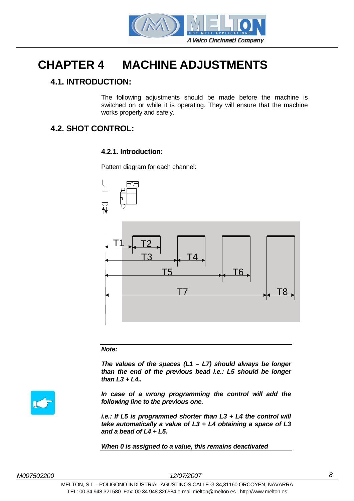

# **CHAPTER 4 MACHINE ADJUSTMENTS**

# **4.1. INTRODUCTION:**

The following adjustments should be made before the machine is switched on or while it is operating. They will ensure that the machine works properly and safely.

# **4.2. SHOT CONTROL:**

#### **4.2.1. Introduction:**

Pattern diagram for each channel:



#### **Note:**

**The values of the spaces (L1 – L7) should always be longer than the end of the previous bead i.e.: L5 should be longer than L3 + L4..** 



**In case of a wrong programming the control will add the following line to the previous one.** 

**i.e.: If L5 is programmed shorter than L3 + L4 the control will take automatically a value of L3 + L4 obtaining a space of L3 and a bead of L4 + L5.** 

**When 0 is assigned to a value, this remains deactivated**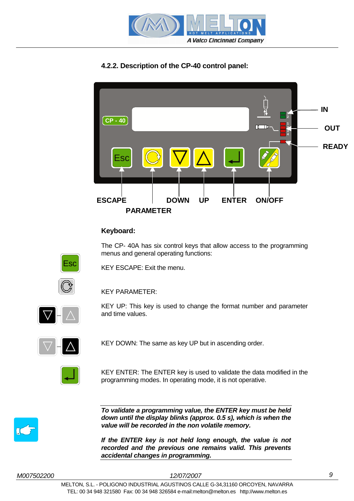

### **4.2.2. Description of the CP-40 control panel:**



#### **Keyboard:**

The CP- 40A has six control keys that allow access to the programming menus and general operating functions:



KEY ESCAPE: Exit the menu.



KEY PARAMETER:

KEY UP: This key is used to change the format number and parameter and time values.



KEY DOWN: The same as key UP but in ascending order.



KEY ENTER: The ENTER key is used to validate the data modified in the programming modes. In operating mode, it is not operative.



**To validate a programming value, the ENTER key must be held down until the display blinks (approx. 0.5 s), which is when the value will be recorded in the non volatile memory.** 

**If the ENTER key is not held long enough, the value is not recorded and the previous one remains valid. This prevents accidental changes in programming.**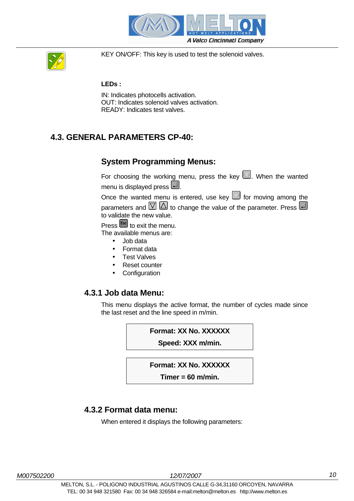



KEY ON/OFF: This key is used to test the solenoid valves.

#### **LEDs :**

IN: Indicates photocells activation. OUT: Indicates solenoid valves activation. READY: Indicates test valves.

# **4.3. GENERAL PARAMETERS CP-40:**

#### **System Programming Menus:**

For choosing the working menu, press the key  $\mathbb Q$ . When the wanted menu is displayed press  $\Box$ .

Once the wanted menu is entered, use key  $\blacksquare$  for moving among the parameters and  $\Box$  to change the value of the parameter. Press  $\Box$ to validate the new value.

Press **Esc** to exit the menu. The available menus are:

- Job data
- Format data
- **Test Valves**
- Reset counter
- **Configuration**

#### **4.3.1 Job data Menu:**

This menu displays the active format, the number of cycles made since the last reset and the line speed in m/min.

**Format: XX No. XXXXXX** 

**Speed: XXX m/min.**

#### **Format: XX No. XXXXXX**

**Timer = 60 m/min.**

#### **4.3.2 Format data menu:**

When entered it displays the following parameters: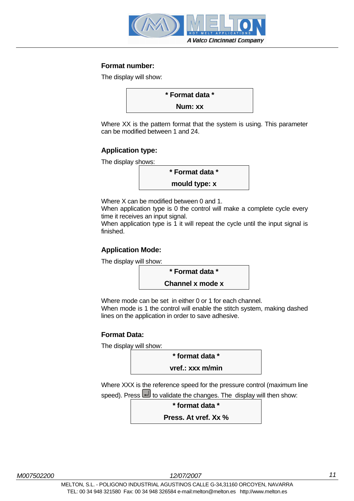

#### **Format number:**

The display will show:



Where XX is the pattern format that the system is using. This parameter can be modified between 1 and 24.

#### **Application type:**

The display shows:



Where X can be modified between 0 and 1.

When application type is 0 the control will make a complete cycle every time it receives an input signal.

When application type is 1 it will repeat the cycle until the input signal is finished.

#### **Application Mode:**

The display will show:

**\* Format data \* Channel x mode x**

Where mode can be set in either 0 or 1 for each channel.

When mode is 1 the control will enable the stitch system, making dashed lines on the application in order to save adhesive.

#### **Format Data:**

The display will show:

**\* format data \*** 

**vref.: xxx m/min**

Where XXX is the reference speed for the pressure control (maximum line

speed). Press  $\Box$  to validate the changes. The display will then show:



**Press. At vref. Xx %**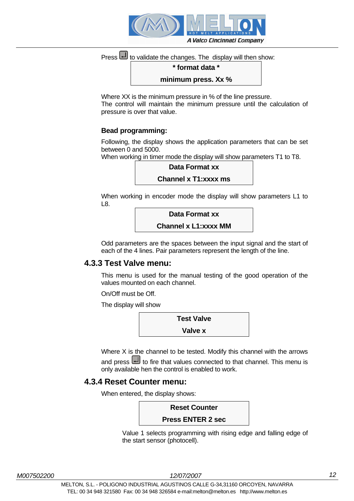

# Press to validate the changes. The display will then show:

#### **\* format data \***

**minimum press. Xx %**

Where XX is the minimum pressure in % of the line pressure. The control will maintain the minimum pressure until the calculation of pressure is over that value.

#### **Bead programming:**

Following, the display shows the application parameters that can be set between 0 and 5000.

When working in timer mode the display will show parameters T1 to T8.



**Channel x T1:xxxx ms**

When working in encoder mode the display will show parameters L1 to L8.

**Data Format xx** 

**Channel x L1:xxxx MM**

Odd parameters are the spaces between the input signal and the start of each of the 4 lines. Pair parameters represent the length of the line.

#### **4.3.3 Test Valve menu:**

This menu is used for the manual testing of the good operation of the values mounted on each channel.

On/Off must be Off.

The display will show



Where X is the channel to be tested. Modify this channel with the arrows and press to fire that values connected to that channel. This menu is only available hen the control is enabled to work.

#### **4.3.4 Reset Counter menu:**

When entered, the display shows:



Value 1 selects programming with rising edge and falling edge of the start sensor (photocell).

M007502200 12/07/2007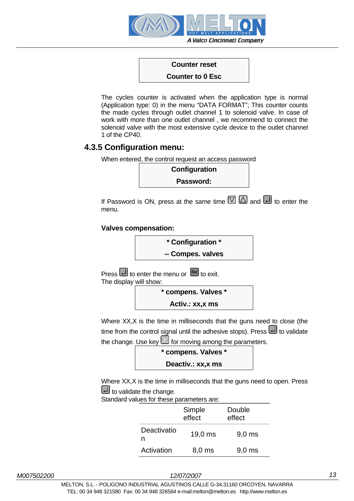

### **Counter reset**

#### **Counter to 0 Esc**

The cycles counter is activated when the application type is normal (Application type: 0) in the menu "DATA FORMAT"; This counter counts the made cycles through outlet channel 1 to solenoid valve. In case of work with more than one outlet channel , we recommend to connect the solenoid valve with the most extensive cycle device to the outlet channel 1 of the CP40.

#### **4.3.5 Configuration menu:**

When entered, the control request an access password



If Password is ON, press at the same time  $\boxed{\heartsuit}$   $\boxed{\triangle}$  and  $\boxed{\rightarrow}$  to enter the menu.

#### **Valves compensation:**



Where XX,X is the time in milliseconds that the guns need to close (the time from the control signal until the adhesive stops). Press  $\Box$  to validate the change. Use key  $\textcircled{S}$  for moving among the parameters.



**Activ.: xx,x ms**

Where XX,X is the time in milliseconds that the guns need to open. Press  $\Box$  to validate the change.

Standard values for these parameters are:

|                  | Simple<br>effect | Double<br>effect |
|------------------|------------------|------------------|
| Deactivatio<br>n | 19,0 ms          | $9,0$ ms         |
| Activation       | 8,0 ms           | $9,0$ ms         |

M007502200 12/07/2007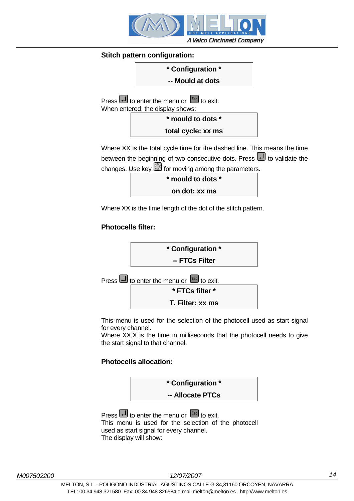

#### **Stitch pattern configuration:**



Where XX is the total cycle time for the dashed line. This means the time between the beginning of two consecutive dots. Press **between** the beginning of two consecutive dots. Press **b** to validate the changes. Use key  $\textcircled{S}$  for moving among the parameters.

| * mould to dots * |  |
|-------------------|--|
| on dot: xx ms     |  |

Where XX is the time length of the dot of the stitch pattern.

#### **Photocells filter:**



This menu is used for the selection of the photocell used as start signal for every channel.

Where XX,X is the time in milliseconds that the photocell needs to give the start signal to that channel.

#### **Photocells allocation:**



Press to enter the menu or **Esc** to exit. This menu is used for the selection of the photocell used as start signal for every channel. The display will show: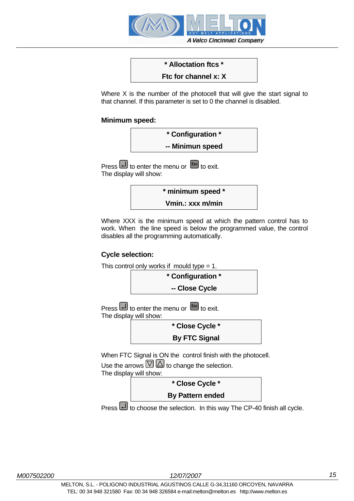

# **\* Alloctation ftcs \***

#### **Ftc for channel x: X**

Where X is the number of the photocell that will give the start signal to that channel. If this parameter is set to 0 the channel is disabled.

#### **Minimum speed:**



Press to enter the menu or **Esc** to exit. The display will show:



Where XXX is the minimum speed at which the pattern control has to work. When the line speed is below the programmed value, the control disables all the programming automatically.

#### **Cycle selection:**



Press **b** to choose the selection. In this way The CP-40 finish all cycle.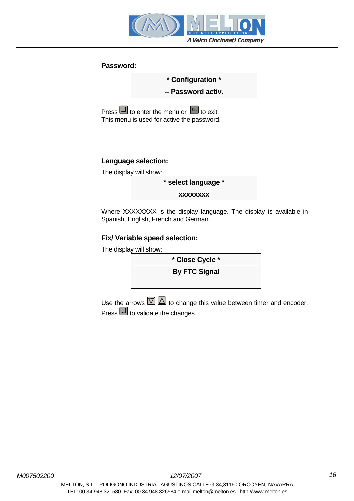

#### **Password:**



Press **U** to enter the menu or **Esc** to exit. This menu is used for active the password.

#### **Language selection:**

The display will show:



Where XXXXXXXX is the display language. The display is available in Spanish, English, French and German.

#### **Fix/ Variable speed selection:**

The display will show:



Use the arrows  $\overline{\mathbb{C}}\boxtimes$  to change this value between timer and encoder. Press  $\Box$  to validate the changes.